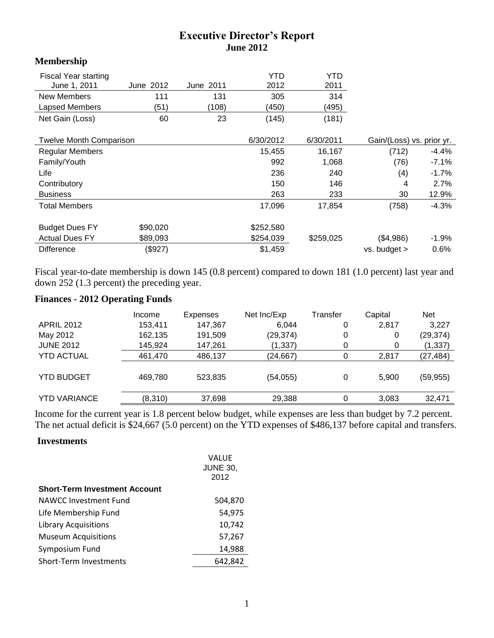# **Executive Director's Report June 2012**

## **Membership**

| <b>Fiscal Year starting</b>    |           |           | YTD       | <b>YTD</b>                |       |         |
|--------------------------------|-----------|-----------|-----------|---------------------------|-------|---------|
| June 1, 2011                   | June 2012 | June 2011 | 2012      | 2011                      |       |         |
| New Members                    | 111       | 131       | 305       | 314                       |       |         |
| Lapsed Members                 | (51)      | (108)     | (450)     | (495)                     |       |         |
| Net Gain (Loss)                | 60        | 23        | (145)     | (181)                     |       |         |
| <b>Twelve Month Comparison</b> |           | 6/30/2012 | 6/30/2011 | Gain/(Loss) vs. prior yr. |       |         |
| <b>Regular Members</b>         |           |           | 15,455    | 16,167                    | (712) | $-4.4%$ |
| Family/Youth                   |           |           | 992       | 1,068                     | (76)  | $-7.1%$ |
| Life                           |           |           | 236       | 240                       | (4)   | $-1.7%$ |
| Contributory                   |           |           | 150       | 146                       | 4     | 2.7%    |
| <b>Business</b>                |           |           | 263       | 233                       | 30    | 12.9%   |
| <b>Total Members</b>           |           |           | 17,096    | 17,854                    | (758) | $-4.3%$ |
| <b>Budget Dues FY</b>          | \$90,020  |           | \$252,580 |                           |       |         |

Fiscal year-to-date membership is down 145 (0.8 percent) compared to down 181 (1.0 percent) last year and down 252 (1.3 percent) the preceding year.

Actual Dues FY  $$89,093$   $$254,039$   $$259,025$   $$4,986$   $-1.9\%$ Difference (\$927) \$1,459 vs. budget > 0.6%

### **Finances - 2012 Operating Funds**

|                     | Income  | Expenses | Net Inc/Exp | Transfer | Capital | <b>Net</b> |
|---------------------|---------|----------|-------------|----------|---------|------------|
| <b>APRIL 2012</b>   | 153,411 | 147,367  | 6.044       | 0        | 2,817   | 3,227      |
| May 2012            | 162,135 | 191,509  | (29, 374)   | 0        | 0       | (29, 374)  |
| <b>JUNE 2012</b>    | 145,924 | 147,261  | (1, 337)    |          | 0       | (1, 337)   |
| <b>YTD ACTUAL</b>   | 461,470 | 486,137  | (24,667)    |          | 2,817   | (27,484)   |
| <b>YTD BUDGET</b>   | 469,780 | 523,835  | (54, 055)   | 0        | 5,900   | (59, 955)  |
| <b>YTD VARIANCE</b> | (8,310) | 37,698   | 29,388      |          | 3,083   | 32,471     |

Income for the current year is 1.8 percent below budget, while expenses are less than budget by 7.2 percent. The net actual deficit is \$24,667 (5.0 percent) on the YTD expenses of \$486,137 before capital and transfers.

#### **Investments**

|                                      | VALUE           |
|--------------------------------------|-----------------|
|                                      | <b>JUNE 30,</b> |
|                                      | 2012            |
| <b>Short-Term Investment Account</b> |                 |
| NAWCC Investment Fund                | 504,870         |
| Life Membership Fund                 | 54,975          |
| <b>Library Acquisitions</b>          | 10,742          |
| <b>Museum Acquisitions</b>           | 57,267          |
| Symposium Fund                       | 14,988          |
| Short-Term Investments               | 642,842         |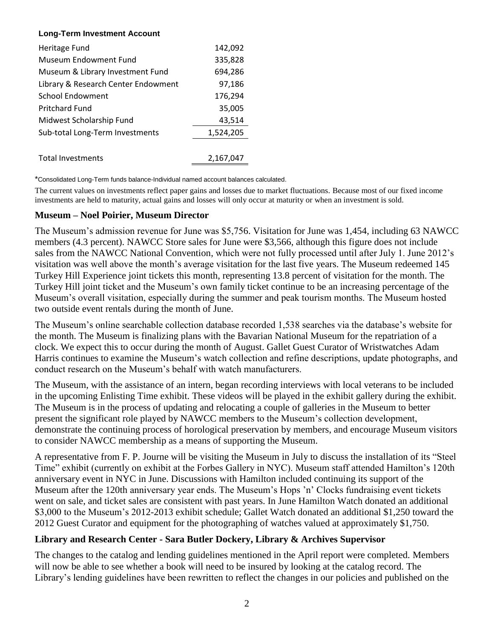### **Long-Term Investment Account**

| Heritage Fund                       | 142,092   |
|-------------------------------------|-----------|
| Museum Endowment Fund               | 335,828   |
| Museum & Library Investment Fund    | 694,286   |
| Library & Research Center Endowment | 97,186    |
| <b>School Endowment</b>             | 176,294   |
| <b>Pritchard Fund</b>               | 35,005    |
| Midwest Scholarship Fund            | 43,514    |
| Sub-total Long-Term Investments     | 1,524,205 |
|                                     |           |
| <b>Total Investments</b>            | 2.167.047 |

\*Consolidated Long-Term funds balance-Individual named account balances calculated.

The current values on investments reflect paper gains and losses due to market fluctuations. Because most of our fixed income investments are held to maturity, actual gains and losses will only occur at maturity or when an investment is sold.

### **Museum – Noel Poirier, Museum Director**

The Museum's admission revenue for June was \$5,756. Visitation for June was 1,454, including 63 NAWCC members (4.3 percent). NAWCC Store sales for June were \$3,566, although this figure does not include sales from the NAWCC National Convention, which were not fully processed until after July 1. June 2012's visitation was well above the month's average visitation for the last five years. The Museum redeemed 145 Turkey Hill Experience joint tickets this month, representing 13.8 percent of visitation for the month. The Turkey Hill joint ticket and the Museum's own family ticket continue to be an increasing percentage of the Museum's overall visitation, especially during the summer and peak tourism months. The Museum hosted two outside event rentals during the month of June.

The Museum's online searchable collection database recorded 1,538 searches via the database's website for the month. The Museum is finalizing plans with the Bavarian National Museum for the repatriation of a clock. We expect this to occur during the month of August. Gallet Guest Curator of Wristwatches Adam Harris continues to examine the Museum's watch collection and refine descriptions, update photographs, and conduct research on the Museum's behalf with watch manufacturers.

The Museum, with the assistance of an intern, began recording interviews with local veterans to be included in the upcoming Enlisting Time exhibit. These videos will be played in the exhibit gallery during the exhibit. The Museum is in the process of updating and relocating a couple of galleries in the Museum to better present the significant role played by NAWCC members to the Museum's collection development, demonstrate the continuing process of horological preservation by members, and encourage Museum visitors to consider NAWCC membership as a means of supporting the Museum.

A representative from F. P. Journe will be visiting the Museum in July to discuss the installation of its "Steel Time" exhibit (currently on exhibit at the Forbes Gallery in NYC). Museum staff attended Hamilton's 120th anniversary event in NYC in June. Discussions with Hamilton included continuing its support of the Museum after the 120th anniversary year ends. The Museum's Hops 'n' Clocks fundraising event tickets went on sale, and ticket sales are consistent with past years. In June Hamilton Watch donated an additional \$3,000 to the Museum's 2012-2013 exhibit schedule; Gallet Watch donated an additional \$1,250 toward the 2012 Guest Curator and equipment for the photographing of watches valued at approximately \$1,750.

## **Library and Research Center - Sara Butler Dockery, Library & Archives Supervisor**

The changes to the catalog and lending guidelines mentioned in the April report were completed. Members will now be able to see whether a book will need to be insured by looking at the catalog record. The Library's lending guidelines have been rewritten to reflect the changes in our policies and published on the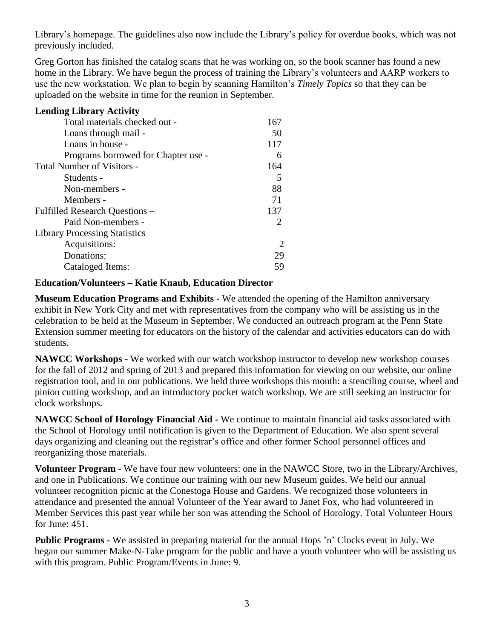Library's homepage. The guidelines also now include the Library's policy for overdue books, which was not previously included.

Greg Gorton has finished the catalog scans that he was working on, so the book scanner has found a new home in the Library. We have begun the process of training the Library's volunteers and AARP workers to use the new workstation. We plan to begin by scanning Hamilton's *Timely Topics* so that they can be uploaded on the website in time for the reunion in September.

| <b>Lending Library Activity</b>      |                             |  |
|--------------------------------------|-----------------------------|--|
| Total materials checked out -        | 167                         |  |
| Loans through mail -                 | 50                          |  |
| Loans in house -                     | 117                         |  |
| Programs borrowed for Chapter use -  | 6                           |  |
| <b>Total Number of Visitors -</b>    | 164                         |  |
| Students -                           | 5                           |  |
| Non-members -                        | 88                          |  |
| Members -                            | 71                          |  |
| Fulfilled Research Questions –       | 137                         |  |
| Paid Non-members -                   | 2                           |  |
| <b>Library Processing Statistics</b> |                             |  |
| Acquisitions:                        | $\mathcal{D}_{\mathcal{L}}$ |  |
| Donations:                           | 29                          |  |
| Cataloged Items:                     | 59                          |  |

### **Education/Volunteers – Katie Knaub, Education Director**

**Museum Education Programs and Exhibits -** We attended the opening of the Hamilton anniversary exhibit in New York City and met with representatives from the company who will be assisting us in the celebration to be held at the Museum in September. We conducted an outreach program at the Penn State Extension summer meeting for educators on the history of the calendar and activities educators can do with students.

**NAWCC Workshops -** We worked with our watch workshop instructor to develop new workshop courses for the fall of 2012 and spring of 2013 and prepared this information for viewing on our website, our online registration tool, and in our publications. We held three workshops this month: a stenciling course, wheel and pinion cutting workshop, and an introductory pocket watch workshop. We are still seeking an instructor for clock workshops.

**NAWCC School of Horology Financial Aid -** We continue to maintain financial aid tasks associated with the School of Horology until notification is given to the Department of Education. We also spent several days organizing and cleaning out the registrar's office and other former School personnel offices and reorganizing those materials.

**Volunteer Program -** We have four new volunteers: one in the NAWCC Store, two in the Library/Archives, and one in Publications. We continue our training with our new Museum guides. We held our annual volunteer recognition picnic at the Conestoga House and Gardens. We recognized those volunteers in attendance and presented the annual Volunteer of the Year award to Janet Fox, who had volunteered in Member Services this past year while her son was attending the School of Horology. Total Volunteer Hours for June: 451.

**Public Programs -** We assisted in preparing material for the annual Hops 'n' Clocks event in July. We began our summer Make-N-Take program for the public and have a youth volunteer who will be assisting us with this program. Public Program/Events in June: 9.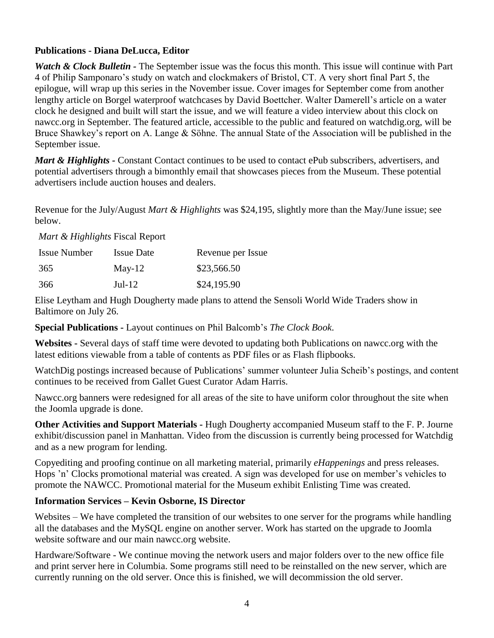## **Publications - Diana DeLucca, Editor**

*Watch & Clock Bulletin* - The September issue was the focus this month. This issue will continue with Part 4 of Philip Samponaro's study on watch and clockmakers of Bristol, CT. A very short final Part 5, the epilogue, will wrap up this series in the November issue. Cover images for September come from another lengthy article on Borgel waterproof watchcases by David Boettcher. Walter Damerell's article on a water clock he designed and built will start the issue, and we will feature a video interview about this clock on nawcc.org in September. The featured article, accessible to the public and featured on watchdig.org, will be Bruce Shawkey's report on A. Lange & Söhne. The annual State of the Association will be published in the September issue.

*Mart & Highlights* - Constant Contact continues to be used to contact ePub subscribers, advertisers, and potential advertisers through a bimonthly email that showcases pieces from the Museum. These potential advertisers include auction houses and dealers.

Revenue for the July/August *Mart & Highlights* was \$24,195, slightly more than the May/June issue; see below.

*Mart & Highlights* Fiscal Report

| <b>Issue Number</b> | <b>Issue Date</b> | Revenue per Issue |
|---------------------|-------------------|-------------------|
| 365                 | May-12            | \$23,566.50       |
| 366                 | $Jul-12$          | \$24,195.90       |

Elise Leytham and Hugh Dougherty made plans to attend the Sensoli World Wide Traders show in Baltimore on July 26.

**Special Publications -** Layout continues on Phil Balcomb's *The Clock Book*.

**Websites -** Several days of staff time were devoted to updating both Publications on nawcc.org with the latest editions viewable from a table of contents as PDF files or as Flash flipbooks.

WatchDig postings increased because of Publications' summer volunteer Julia Scheib's postings, and content continues to be received from Gallet Guest Curator Adam Harris.

Nawcc.org banners were redesigned for all areas of the site to have uniform color throughout the site when the Joomla upgrade is done.

**Other Activities and Support Materials -** Hugh Dougherty accompanied Museum staff to the F. P. Journe exhibit/discussion panel in Manhattan. Video from the discussion is currently being processed for Watchdig and as a new program for lending.

Copyediting and proofing continue on all marketing material, primarily *eHappenings* and press releases. Hops 'n' Clocks promotional material was created. A sign was developed for use on member's vehicles to promote the NAWCC. Promotional material for the Museum exhibit Enlisting Time was created.

## **Information Services – Kevin Osborne, IS Director**

Websites – We have completed the transition of our websites to one server for the programs while handling all the databases and the MySQL engine on another server. Work has started on the upgrade to Joomla website software and our main nawcc.org website.

Hardware/Software - We continue moving the network users and major folders over to the new office file and print server here in Columbia. Some programs still need to be reinstalled on the new server, which are currently running on the old server. Once this is finished, we will decommission the old server.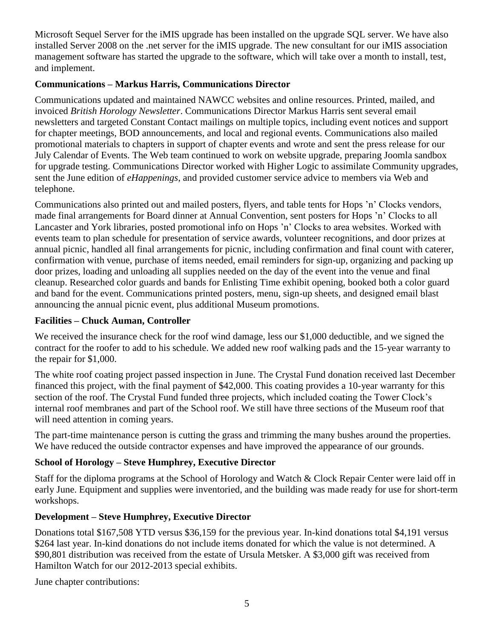Microsoft Sequel Server for the iMIS upgrade has been installed on the upgrade SQL server. We have also installed Server 2008 on the .net server for the iMIS upgrade. The new consultant for our iMIS association management software has started the upgrade to the software, which will take over a month to install, test, and implement.

# **Communications – Markus Harris, Communications Director**

Communications updated and maintained NAWCC websites and online resources. Printed, mailed, and invoiced *British Horology Newsletter*. Communications Director Markus Harris sent several email newsletters and targeted Constant Contact mailings on multiple topics, including event notices and support for chapter meetings, BOD announcements, and local and regional events. Communications also mailed promotional materials to chapters in support of chapter events and wrote and sent the press release for our July Calendar of Events. The Web team continued to work on website upgrade, preparing Joomla sandbox for upgrade testing. Communications Director worked with Higher Logic to assimilate Community upgrades, sent the June edition of *eHappenings*, and provided customer service advice to members via Web and telephone.

Communications also printed out and mailed posters, flyers, and table tents for Hops 'n' Clocks vendors, made final arrangements for Board dinner at Annual Convention, sent posters for Hops 'n' Clocks to all Lancaster and York libraries, posted promotional info on Hops 'n' Clocks to area websites. Worked with events team to plan schedule for presentation of service awards, volunteer recognitions, and door prizes at annual picnic, handled all final arrangements for picnic, including confirmation and final count with caterer, confirmation with venue, purchase of items needed, email reminders for sign-up, organizing and packing up door prizes, loading and unloading all supplies needed on the day of the event into the venue and final cleanup. Researched color guards and bands for Enlisting Time exhibit opening, booked both a color guard and band for the event. Communications printed posters, menu, sign-up sheets, and designed email blast announcing the annual picnic event, plus additional Museum promotions.

# **Facilities – Chuck Auman, Controller**

We received the insurance check for the roof wind damage, less our \$1,000 deductible, and we signed the contract for the roofer to add to his schedule. We added new roof walking pads and the 15-year warranty to the repair for \$1,000.

The white roof coating project passed inspection in June. The Crystal Fund donation received last December financed this project, with the final payment of \$42,000. This coating provides a 10-year warranty for this section of the roof. The Crystal Fund funded three projects, which included coating the Tower Clock's internal roof membranes and part of the School roof. We still have three sections of the Museum roof that will need attention in coming years.

The part-time maintenance person is cutting the grass and trimming the many bushes around the properties. We have reduced the outside contractor expenses and have improved the appearance of our grounds.

# **School of Horology – Steve Humphrey, Executive Director**

Staff for the diploma programs at the School of Horology and Watch & Clock Repair Center were laid off in early June. Equipment and supplies were inventoried, and the building was made ready for use for short-term workshops.

# **Development – Steve Humphrey, Executive Director**

Donations total \$167,508 YTD versus \$36,159 for the previous year. In-kind donations total \$4,191 versus \$264 last year. In-kind donations do not include items donated for which the value is not determined. A \$90,801 distribution was received from the estate of Ursula Metsker. A \$3,000 gift was received from Hamilton Watch for our 2012-2013 special exhibits.

June chapter contributions: